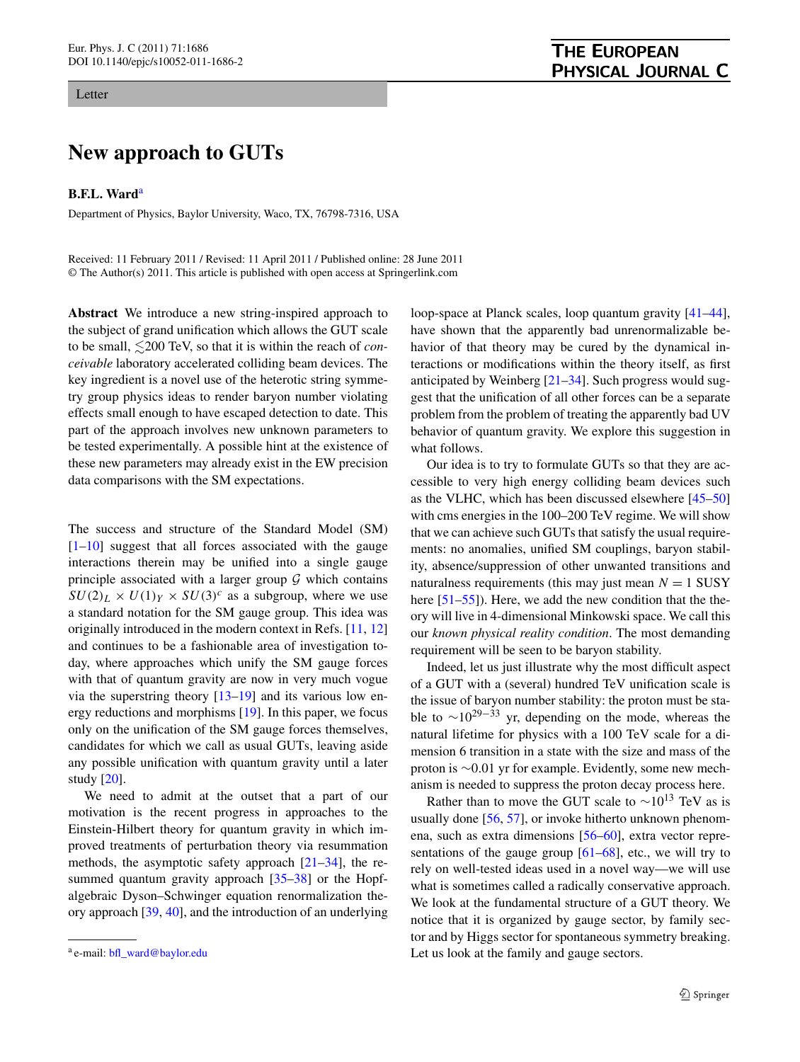## Letter

## **New approach to GUTs**

**B.F.L. Ward**[a](#page-0-0)

Department of Physics, Baylor University, Waco, TX, 76798-7316, USA

Received: 11 February 2011 / Revised: 11 April 2011 / Published online: 28 June 2011 © The Author(s) 2011. This article is published with open access at Springerlink.com

**Abstract** We introduce a new string-inspired approach to the subject of grand unification which allows the GUT scale to be small,  $\leq 200$  TeV, so that it is within the reach of *conceivable* laboratory accelerated colliding beam devices. The key ingredient is a novel use of the heterotic string symmetry group physics ideas to render baryon number violating effects small enough to have escaped detection to date. This part of the approach involves new unknown parameters to be tested experimentally. A possible hint at the existence of these new parameters may already exist in the EW precision data comparisons with the SM expectations.

The success and structure of the Standard Model (SM)  $[1-10]$  $[1-10]$  suggest that all forces associated with the gauge interactions therein may be unified into a single gauge principle associated with a larger group  $G$  which contains  $SU(2)_L \times U(1)_Y \times SU(3)^c$  as a subgroup, where we use a standard notation for the SM gauge group. This idea was originally introduced in the modern context in Refs. [[11,](#page-4-2) [12\]](#page-4-3) and continues to be a fashionable area of investigation today, where approaches which unify the SM gauge forces with that of quantum gravity are now in very much vogue via the superstring theory  $[13-19]$  $[13-19]$  $[13-19]$  and its various low energy reductions and morphisms [\[19](#page-4-5)]. In this paper, we focus only on the unification of the SM gauge forces themselves, candidates for which we call as usual GUTs, leaving aside any possible unification with quantum gravity until a later study [\[20](#page-4-6)].

<span id="page-0-0"></span>We need to admit at the outset that a part of our motivation is the recent progress in approaches to the Einstein-Hilbert theory for quantum gravity in which improved treatments of perturbation theory via resummation methods, the asymptotic safety approach [[21–](#page-4-7)[34\]](#page-4-8), the resummed quantum gravity approach [[35–](#page-4-9)[38\]](#page-4-10) or the Hopfalgebraic Dyson–Schwinger equation renormalization theory approach [\[39](#page-4-11), [40](#page-4-12)], and the introduction of an underlying

loop-space at Planck scales, loop quantum gravity [\[41](#page-4-13)[–44](#page-4-14)], have shown that the apparently bad unrenormalizable behavior of that theory may be cured by the dynamical interactions or modifications within the theory itself, as first anticipated by Weinberg [\[21](#page-4-7)[–34](#page-4-8)]. Such progress would suggest that the unification of all other forces can be a separate problem from the problem of treating the apparently bad UV behavior of quantum gravity. We explore this suggestion in what follows.

Our idea is to try to formulate GUTs so that they are accessible to very high energy colliding beam devices such as the VLHC, which has been discussed elsewhere [[45–](#page-4-15)[50\]](#page-4-16) with cms energies in the 100–200 TeV regime. We will show that we can achieve such GUTs that satisfy the usual requirements: no anomalies, unified SM couplings, baryon stability, absence/suppression of other unwanted transitions and naturalness requirements (this may just mean  $N = 1$  SUSY here  $[51-55]$  $[51-55]$ ). Here, we add the new condition that the theory will live in 4-dimensional Minkowski space. We call this our *known physical reality condition*. The most demanding requirement will be seen to be baryon stability.

Indeed, let us just illustrate why the most difficult aspect of a GUT with a (several) hundred TeV unification scale is the issue of baryon number stability: the proton must be stable to  $\sim 10^{29-33}$  yr, depending on the mode, whereas the natural lifetime for physics with a 100 TeV scale for a dimension 6 transition in a state with the size and mass of the proton is ∼0*.*01 yr for example. Evidently, some new mechanism is needed to suppress the proton decay process here.

Rather than to move the GUT scale to  $\sim 10^{13}$  TeV as is usually done [\[56](#page-5-2), [57](#page-5-3)], or invoke hitherto unknown phenomena, such as extra dimensions [[56–](#page-5-2)[60](#page-5-4)], extra vector representations of the gauge group  $[61–68]$  $[61–68]$  $[61–68]$ , etc., we will try to rely on well-tested ideas used in a novel way—we will use what is sometimes called a radically conservative approach. We look at the fundamental structure of a GUT theory. We notice that it is organized by gauge sector, by family sector and by Higgs sector for spontaneous symmetry breaking. Let us look at the family and gauge sectors.

<sup>a</sup> e-mail: [bfl\\_ward@baylor.edu](mailto:bfl_ward@baylor.edu)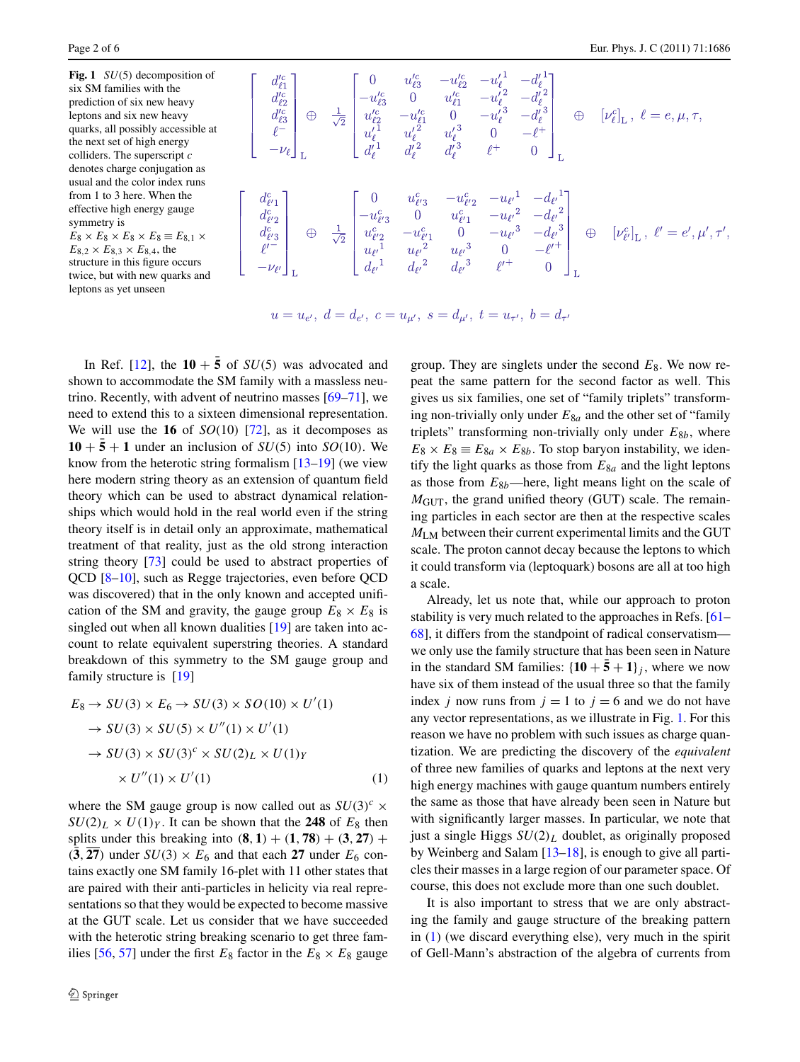<span id="page-1-0"></span>**Fig. 1** *SU(*5*)* decomposition of six SM families with the prediction of six new heavy leptons and six new heavy quarks, all possibly accessible at the next set of high energy colliders. The superscript *c* denotes charge conjugation as usual and the color index runs from 1 to 3 here. When the effective high energy gauge symmetry is  $E_8 \times E_8 \times E_8 \times E_8 \equiv E_{8,1} \times$  $E_{8,2} \times E_{8,3} \times E_{8,4}$ , the

structure in this figure occurs twice, but with new quarks and leptons as yet unseen

$$
\begin{aligned}\n\frac{d_{\ell_1}^{c}}{d_{\ell_2}^{c}} \\
\frac{d_{\ell_2}^{c}}{d_{\ell_3}^{c}} \\
\frac{d_{\ell_3}^{c}}{d_{\ell_4}^{c}}\n\end{aligned}\n\bigoplus\n\begin{aligned}\n\frac{1}{\sqrt{2}} \begin{bmatrix}\n0 & u_{\ell_3}^{c} & -u_{\ell_2}^{c} & -u_{\ell_1}^{c} & -d_{\ell_1}^{c} \\
-u_{\ell_3}^{c} & 0 & u_{\ell_1}^{c} & -u_{\ell_2}^{c} & -d_{\ell_2}^{c} \\
u_{\ell_2}^{c} & -u_{\ell_1}^{c} & 0 & -u_{\ell_2}^{c} & -d_{\ell_2}^{c} \\
u_{\ell_1}^{c} & u_{\ell_2}^{c} & u_{\ell_2}^{c} & 0 & -\ell_1^+ \\
u_{\ell_1}^{c} & u_{\ell_2}^{c} & u_{\ell_2}^{c} & 0 & -\ell_1^+ \\
u_{\ell_1}^{c} & u_{\ell_2}^{c} & u_{\ell_2}^{c} & -u_{\ell_1}^{c} & -d_{\ell_2}^{c} \\
u_{\ell_2}^{c} & u_{\ell_2}^{c} & -u_{\ell_2}^{c} & -u_{\ell_2}^{c} & -d_{\ell_2}^{c} \\
u_{\ell_2}^{c} & -u_{\ell_2}^{c} & 0 & -u_{\ell_2}^{c} & -d_{\ell_2}^{c} \\
u_{\ell_1}^{c} & u_{\ell_2}^{c} & u_{\ell_2}^{c} & u_{\ell_2}^{c} & 0 & -\ell_2^+ \\
u_{\ell_1}^{c} & u_{\ell_2}^{c} & u_{\ell_2}^{c} & u_{\ell_2}^{c} & 0 & -\ell_2^+ \\
u_{\ell_1}^{c} & u_{\ell_2}^{c} & u_{\ell_2}^{c} & u_{\ell_2}^{c} & 0 & -\ell_2^+ \\
u_{\ell_1}^{c} & u_{\ell_2}^{c} & u_{\ell_2}^{c} & u_{\ell_2}^{c} & \ell_2^+ \\
u_{\ell_1}^{c} & u_{\ell_2}^{c} & u_{\ell_
$$

 $-11$ 

 $u = u_{e'}, d = d_{e'}, c = u_{u'}, s = d_{u'}, t = u_{\tau'}, b = d_{\tau'}$ 

In Ref. [[12\]](#page-4-3), the  $10 + \bar{5}$  of *SU*(5) was advocated and shown to accommodate the SM family with a massless neutrino. Recently, with advent of neutrino masses [\[69](#page-5-7)[–71](#page-5-8)], we need to extend this to a sixteen dimensional representation. We will use the **16** of  $SO(10)$  [[72\]](#page-5-9), as it decomposes as  $10 + 5 + 1$  under an inclusion of *SU*(5) into *SO*(10). We know from the heterotic string formalism  $[13-19]$  $[13-19]$  $[13-19]$  (we view here modern string theory as an extension of quantum field theory which can be used to abstract dynamical relationships which would hold in the real world even if the string theory itself is in detail only an approximate, mathematical treatment of that reality, just as the old strong interaction string theory [\[73](#page-5-10)] could be used to abstract properties of QCD [\[8](#page-4-17)[–10](#page-4-1)], such as Regge trajectories, even before QCD was discovered) that in the only known and accepted unification of the SM and gravity, the gauge group  $E_8 \times E_8$  is singled out when all known dualities [[19\]](#page-4-5) are taken into account to relate equivalent superstring theories. A standard breakdown of this symmetry to the SM gauge group and family structure is [[19](#page-4-5)]

$$
E_8 \to SU(3) \times E_6 \to SU(3) \times SO(10) \times U'(1)
$$
  
\n
$$
\to SU(3) \times SU(5) \times U''(1) \times U'(1)
$$
  
\n
$$
\to SU(3) \times SU(3)^c \times SU(2)_L \times U(1)_Y
$$
  
\n
$$
\times U''(1) \times U'(1)
$$
 (1)

where the SM gauge group is now called out as  $SU(3)^c \times$  $SU(2)_L \times U(1)_Y$ . It can be shown that the **248** of  $E_8$  then splits under this breaking into  $(8, 1) + (1, 78) + (3, 27) +$  $(3, 27)$  under  $SU(3) \times E_6$  and that each 27 under  $E_6$  contains exactly one SM family 16-plet with 11 other states that are paired with their anti-particles in helicity via real representations so that they would be expected to become massive at the GUT scale. Let us consider that we have succeeded with the heterotic string breaking scenario to get three fam-ilies [\[56](#page-5-2), [57](#page-5-3)] under the first  $E_8$  factor in the  $E_8 \times E_8$  gauge group. They are singlets under the second  $E_8$ . We now repeat the same pattern for the second factor as well. This gives us six families, one set of "family triplets" transforming non-trivially only under  $E_{8a}$  and the other set of "family" triplets" transforming non-trivially only under  $E_{8b}$ , where  $E_8 \times E_8 \equiv E_{8a} \times E_{8b}$ . To stop baryon instability, we identify the light quarks as those from  $E_{8a}$  and the light leptons as those from  $E_{8b}$ —here, light means light on the scale of  $M<sub>GUT</sub>$ , the grand unified theory (GUT) scale. The remaining particles in each sector are then at the respective scales *M*LM between their current experimental limits and the GUT scale. The proton cannot decay because the leptons to which it could transform via (leptoquark) bosons are all at too high a scale.

<span id="page-1-1"></span>Already, let us note that, while our approach to proton stability is very much related to the approaches in Refs. [\[61–](#page-5-5) [68\]](#page-5-6), it differs from the standpoint of radical conservatism we only use the family structure that has been seen in Nature in the standard SM families:  $\{10 + \bar{5} + 1\}$ *j*, where we now have six of them instead of the usual three so that the family index *j* now runs from  $j = 1$  to  $j = 6$  and we do not have any vector representations, as we illustrate in Fig. [1.](#page-1-0) For this reason we have no problem with such issues as charge quantization. We are predicting the discovery of the *equivalent* of three new families of quarks and leptons at the next very high energy machines with gauge quantum numbers entirely the same as those that have already been seen in Nature but with significantly larger masses. In particular, we note that just a single Higgs  $SU(2)_L$  doublet, as originally proposed by Weinberg and Salam [[13–](#page-4-4)[18](#page-4-18)], is enough to give all particles their masses in a large region of our parameter space. Of course, this does not exclude more than one such doublet.

It is also important to stress that we are only abstracting the family and gauge structure of the breaking pattern in [\(1](#page-1-1)) (we discard everything else), very much in the spirit of Gell-Mann's abstraction of the algebra of currents from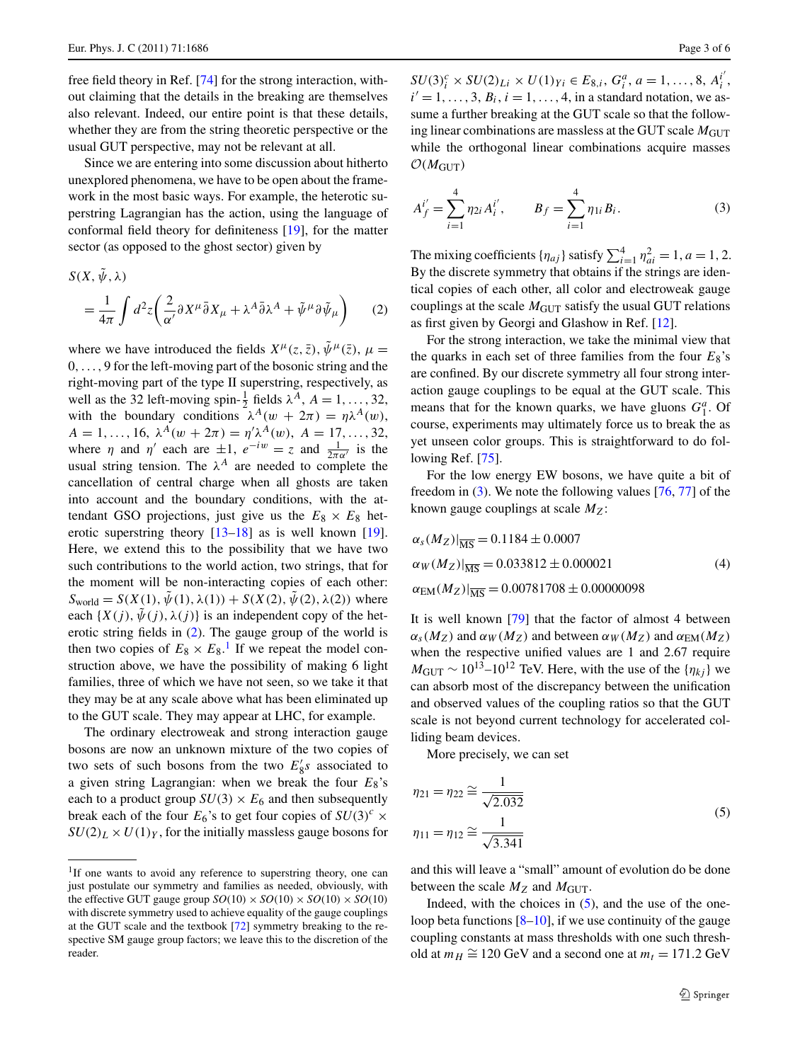free field theory in Ref. [\[74](#page-5-11)] for the strong interaction, without claiming that the details in the breaking are themselves also relevant. Indeed, our entire point is that these details, whether they are from the string theoretic perspective or the usual GUT perspective, may not be relevant at all.

Since we are entering into some discussion about hitherto unexplored phenomena, we have to be open about the framework in the most basic ways. For example, the heterotic superstring Lagrangian has the action, using the language of conformal field theory for definiteness [[19\]](#page-4-5), for the matter sector (as opposed to the ghost sector) given by

$$
S(X, \tilde{\psi}, \lambda)
$$
  
=  $\frac{1}{4\pi} \int d^2 z \left( \frac{2}{\alpha'} \partial X^{\mu} \bar{\partial} X_{\mu} + \lambda^A \bar{\partial} \lambda^A + \tilde{\psi}^{\mu} \partial \tilde{\psi}_{\mu} \right)$  (2)

where we have introduced the fields  $X^{\mu}(z, \bar{z}), \tilde{\psi}^{\mu}(\bar{z}), \mu =$ 0*,...,* 9 for the left-moving part of the bosonic string and the right-moving part of the type II superstring, respectively, as well as the 32 left-moving spin- $\frac{1}{2}$  fields  $\lambda^A$ ,  $A = 1, \ldots, 32$ , with the boundary conditions  $\lambda^A(w + 2\pi) = \eta \lambda^A(w)$ ,  $A = 1, \ldots, 16, \lambda^A(w + 2\pi) = \eta' \lambda^A(w), A = 17, \ldots, 32,$ where *η* and *η'* each are  $\pm 1$ ,  $e^{-iw} = z$  and  $\frac{1}{2\pi\alpha'}$  is the usual string tension. The  $\lambda^A$  are needed to complete the cancellation of central charge when all ghosts are taken into account and the boundary conditions, with the attendant GSO projections, just give us the  $E_8 \times E_8$  heterotic superstring theory [\[13](#page-4-4)[–18](#page-4-18)] as is well known [\[19](#page-4-5)]. Here, we extend this to the possibility that we have two such contributions to the world action, two strings, that for the moment will be non-interacting copies of each other:  $S_{\text{world}} = S(X(1), \tilde{\psi}(1), \lambda(1)) + S(X(2), \tilde{\psi}(2), \lambda(2))$  where each  $\{X(j), \psi(j), \lambda(j)\}\$ is an independent copy of the heterotic string fields in [\(2](#page-2-0)). The gauge group of the world is then two copies of  $E_8 \times E_8$ .<sup>[1](#page-2-1)</sup> If we repeat the model construction above, we have the possibility of making 6 light families, three of which we have not seen, so we take it that they may be at any scale above what has been eliminated up to the GUT scale. They may appear at LHC, for example.

<span id="page-2-1"></span>The ordinary electroweak and strong interaction gauge bosons are now an unknown mixture of the two copies of two sets of such bosons from the two  $E'_{8}$ s associated to a given string Lagrangian: when we break the four *E*8's each to a product group  $SU(3) \times E_6$  and then subsequently break each of the four  $E_6$ 's to get four copies of  $SU(3)^c$  ×  $SU(2)_L \times U(1)_Y$ , for the initially massless gauge bosons for

<span id="page-2-2"></span> $SU(3)_i^c \times SU(2)_{Li} \times U(1)_{Yi} \in E_{8,i}, G_i^a, a = 1, \ldots, 8, A_i^{i'}$  $i' = 1, \ldots, 3, B_i, i = 1, \ldots, 4$ , in a standard notation, we assume a further breaking at the GUT scale so that the following linear combinations are massless at the GUT scale  $M<sub>GUT</sub>$ while the orthogonal linear combinations acquire masses  $\mathcal{O}(M_{\text{GUT}})$ 

<span id="page-2-0"></span>
$$
A_f^{i'} = \sum_{i=1}^4 \eta_{2i} A_i^{i'}, \qquad B_f = \sum_{i=1}^4 \eta_{1i} B_i.
$$
 (3)

The mixing coefficients  $\{\eta_{aj}\}$  satisfy  $\sum_{i=1}^{4} \eta_{ai}^2 = 1, a = 1, 2$ . By the discrete symmetry that obtains if the strings are identical copies of each other, all color and electroweak gauge couplings at the scale  $M<sub>GUT</sub>$  satisfy the usual GUT relations as first given by Georgi and Glashow in Ref. [[12\]](#page-4-3).

For the strong interaction, we take the minimal view that the quarks in each set of three families from the four  $E_8$ 's are confined. By our discrete symmetry all four strong interaction gauge couplings to be equal at the GUT scale. This means that for the known quarks, we have gluons  $G_1^a$ . Of course, experiments may ultimately force us to break the as yet unseen color groups. This is straightforward to do fol-lowing Ref. [\[75](#page-5-12)].

For the low energy EW bosons, we have quite a bit of freedom in [\(3](#page-2-2)). We note the following values [\[76](#page-5-13), [77](#page-5-14)] of the known gauge couplings at scale *MZ*:

$$
\alpha_s(M_Z)|_{\overline{\text{MS}}} = 0.1184 \pm 0.0007
$$
  
\n
$$
\alpha_W(M_Z)|_{\overline{\text{MS}}} = 0.033812 \pm 0.000021
$$
  
\n
$$
\alpha_{\text{EM}}(M_Z)|_{\overline{\text{MS}}} = 0.00781708 \pm 0.00000098
$$
 (4)

It is well known [\[79\]](#page-5-15) that the factor of almost 4 between  $\alpha_s(M_Z)$  and  $\alpha_W(M_Z)$  and between  $\alpha_W(M_Z)$  and  $\alpha_{EM}(M_Z)$ when the respective unified values are 1 and 2.67 require  $M_{\text{GUT}} \sim 10^{13} - 10^{12}$  TeV. Here, with the use of the  $\{\eta_{ki}\}\$ we can absorb most of the discrepancy between the unification and observed values of the coupling ratios so that the GUT scale is not beyond current technology for accelerated colliding beam devices.

<span id="page-2-3"></span>More precisely, we can set

$$
\eta_{21} = \eta_{22} \cong \frac{1}{\sqrt{2.032}}
$$
  

$$
\eta_{11} = \eta_{12} \cong \frac{1}{\sqrt{3.341}}
$$
 (5)

and this will leave a "small" amount of evolution do be done between the scale  $M_Z$  and  $M_{\text{GUT}}$ .

Indeed, with the choices in  $(5)$  $(5)$ , and the use of the oneloop beta functions  $[8-10]$  $[8-10]$ , if we use continuity of the gauge coupling constants at mass thresholds with one such threshold at  $m_H \approx 120$  GeV and a second one at  $m_t = 171.2$  GeV

<sup>&</sup>lt;sup>1</sup>If one wants to avoid any reference to superstring theory, one can just postulate our symmetry and families as needed, obviously, with the effective GUT gauge group  $SO(10) \times SO(10) \times SO(10) \times SO(10)$ with discrete symmetry used to achieve equality of the gauge couplings at the GUT scale and the textbook [[72](#page-5-9)] symmetry breaking to the respective SM gauge group factors; we leave this to the discretion of the reader.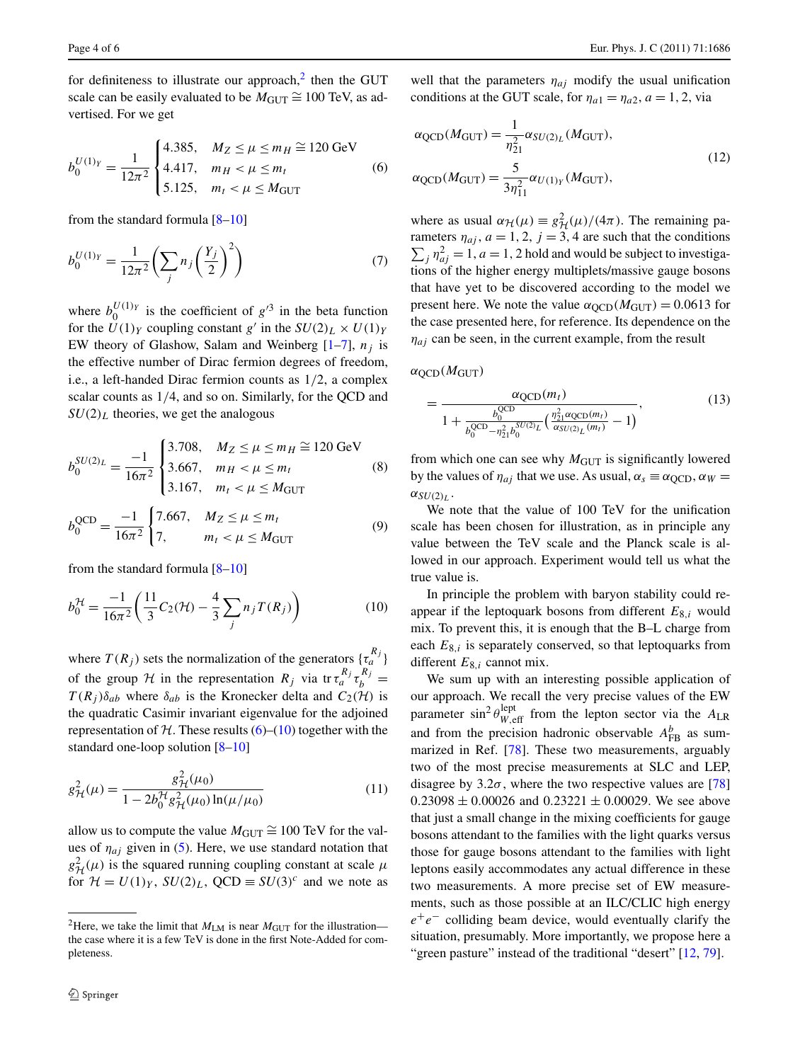for definiteness to illustrate our approach, $<sup>2</sup>$  then the GUT</sup> scale can be easily evaluated to be  $M_{\text{GUT}} \cong 100 \text{ TeV}$ , as advertised. For we get

$$
b_0^{U(1)_Y} = \frac{1}{12\pi^2} \begin{cases} 4.385, & M_Z \le \mu \le m_H \cong 120 \text{ GeV} \\ 4.417, & m_H < \mu \le m_t \\ 5.125, & m_t < \mu \le M_{\text{GUT}} \end{cases} \tag{6}
$$

from the standard formula  $[8-10]$  $[8-10]$ 

$$
b_0^{U(1)_Y} = \frac{1}{12\pi^2} \left( \sum_j n_j \left( \frac{Y_j}{2} \right)^2 \right) \tag{7}
$$

where  $b_0^{U(1)_Y}$  is the coefficient of  $g^{3}$  in the beta function for the  $U(1)_Y$  coupling constant *g'* in the  $SU(2)_L \times U(1)_Y$ EW theory of Glashow, Salam and Weinberg  $[1-7]$  $[1-7]$ ,  $n_j$  is the effective number of Dirac fermion degrees of freedom, i.e., a left-handed Dirac fermion counts as 1*/*2, a complex scalar counts as 1*/*4, and so on. Similarly, for the QCD and  $SU(2)_L$  theories, we get the analogous

$$
b_0^{SU(2)_L} = \frac{-1}{16\pi^2} \begin{cases} 3.708, & M_Z \le \mu \le m_H \cong 120 \text{ GeV} \\ 3.667, & m_H < \mu \le m_t \\ 3.167, & m_t < \mu \le M_{\text{GUT}} \end{cases} \tag{8}
$$

$$
b_0^{\text{QCD}} = \frac{-1}{16\pi^2} \begin{cases} 7.667, & M_Z \le \mu \le m_t \\ 7, & m_t < \mu \le M_{\text{GUT}} \end{cases} \tag{9}
$$

from the standard formula [[8–](#page-4-17)[10\]](#page-4-1)

$$
b_0^{\mathcal{H}} = \frac{-1}{16\pi^2} \left( \frac{11}{3} C_2(\mathcal{H}) - \frac{4}{3} \sum_j n_j T(R_j) \right)
$$
(10)

where  $T(R_j)$  sets the normalization of the generators  $\{\tau_a^{R_j}\}$ of the group  $H$  in the representation  $R_j$  via tr  $\tau_a^{R_j} \tau_b^{R_j} =$  $T(R_i)\delta_{ab}$  where  $\delta_{ab}$  is the Kronecker delta and  $C_2(\mathcal{H})$  is the quadratic Casimir invariant eigenvalue for the adjoined representation of  $H$ . These results  $(6)$  $(6)$ – $(10)$  $(10)$  together with the standard one-loop solution [[8–](#page-4-17)[10\]](#page-4-1)

$$
g_{\mathcal{H}}^{2}(\mu) = \frac{g_{\mathcal{H}}^{2}(\mu_{0})}{1 - 2b_{0}^{\mathcal{H}}g_{\mathcal{H}}^{2}(\mu_{0})\ln(\mu/\mu_{0})}
$$
(11)

<span id="page-3-0"></span>allow us to compute the value  $M_{\text{GUT}} \cong 100 \text{ TeV}$  for the values of  $\eta_{ai}$  given in ([5\)](#page-2-3). Here, we use standard notation that  $g^2_{\mathcal{H}}(\mu)$  is the squared running coupling constant at scale  $\mu$ for  $\mathcal{H} = U(1)_Y$ ,  $SU(2)_L$ ,  $QCD \equiv SU(3)^c$  and we note as <span id="page-3-1"></span>well that the parameters  $\eta_{ai}$  modify the usual unification conditions at the GUT scale, for  $\eta_{a1} = \eta_{a2}, a = 1, 2$ , via

$$
\alpha_{\text{QCD}}(M_{\text{GUT}}) = \frac{1}{\eta_{21}^2} \alpha_{SU(2)_L} (M_{\text{GUT}}),
$$
  
\n
$$
\alpha_{\text{QCD}}(M_{\text{GUT}}) = \frac{5}{3\eta_{11}^2} \alpha_{U(1)_Y} (M_{\text{GUT}}),
$$
\n(12)

where as usual  $\alpha_{\mathcal{H}}(\mu) \equiv g_{\mathcal{H}}^2(\mu)/(4\pi)$ . The remaining parameters  $\eta_{aj}$ ,  $a = 1, 2, j = 3, 4$  are such that the conditions  $\sum_j \eta_{aj}^2 = 1$ , *a* = 1, 2 hold and would be subject to investigations of the higher energy multiplets/massive gauge bosons that have yet to be discovered according to the model we present here. We note the value  $\alpha_{\text{QCD}}(M_{\text{GUT}}) = 0.0613$  for the case presented here, for reference. Its dependence on the  $\eta_{ai}$  can be seen, in the current example, from the result

 $\alpha$ <sub>OCD</sub> $(M$ <sub>GUT</sub> $)$ 

$$
= \frac{\alpha_{\text{QCD}}(m_t)}{1 + \frac{b_0^{\text{QCD}}}{b_0^{\text{QCD}} - \eta_{21}^2 b_0^{\text{SU}(2)} L} \left(\frac{\eta_{21}^2 \alpha_{\text{QCD}}(m_t)}{\alpha_{\text{SU}(2)} L (m_t)} - 1\right)},\tag{13}
$$

from which one can see why  $M_{\text{GUT}}$  is significantly lowered by the values of  $\eta_{ai}$  that we use. As usual,  $\alpha_s \equiv \alpha_{\rm QCD}$ ,  $\alpha_W =$  $\alpha_{SU(2)_L}$ .

<span id="page-3-2"></span>We note that the value of 100 TeV for the unification scale has been chosen for illustration, as in principle any value between the TeV scale and the Planck scale is allowed in our approach. Experiment would tell us what the true value is.

In principle the problem with baryon stability could reappear if the leptoquark bosons from different *E*8*,i* would mix. To prevent this, it is enough that the B–L charge from each *E*8*,i* is separately conserved, so that leptoquarks from different *E*8*,i* cannot mix.

We sum up with an interesting possible application of our approach. We recall the very precise values of the EW parameter  $\sin^2 \theta_{W,\text{eff}}^{\text{lept}}$  from the lepton sector via the  $A_{LR}$ and from the precision hadronic observable  $A_{FB}^{b}$  as summarized in Ref. [[78\]](#page-5-16). These two measurements, arguably two of the most precise measurements at SLC and LEP, disagree by  $3.2\sigma$ , where the two respective values are [[78\]](#page-5-16)  $0.23098 \pm 0.00026$  and  $0.23221 \pm 0.00029$ . We see above that just a small change in the mixing coefficients for gauge bosons attendant to the families with the light quarks versus those for gauge bosons attendant to the families with light leptons easily accommodates any actual difference in these two measurements. A more precise set of EW measurements, such as those possible at an ILC/CLIC high energy *e*<sup>+</sup>*e*<sup>−</sup> colliding beam device, would eventually clarify the situation, presumably. More importantly, we propose here a "green pasture" instead of the traditional "desert" [[12,](#page-4-3) [79\]](#page-5-15).

<sup>&</sup>lt;sup>2</sup>Here, we take the limit that  $M_{LM}$  is near  $M_{GUT}$  for the illustration the case where it is a few TeV is done in the first Note-Added for completeness.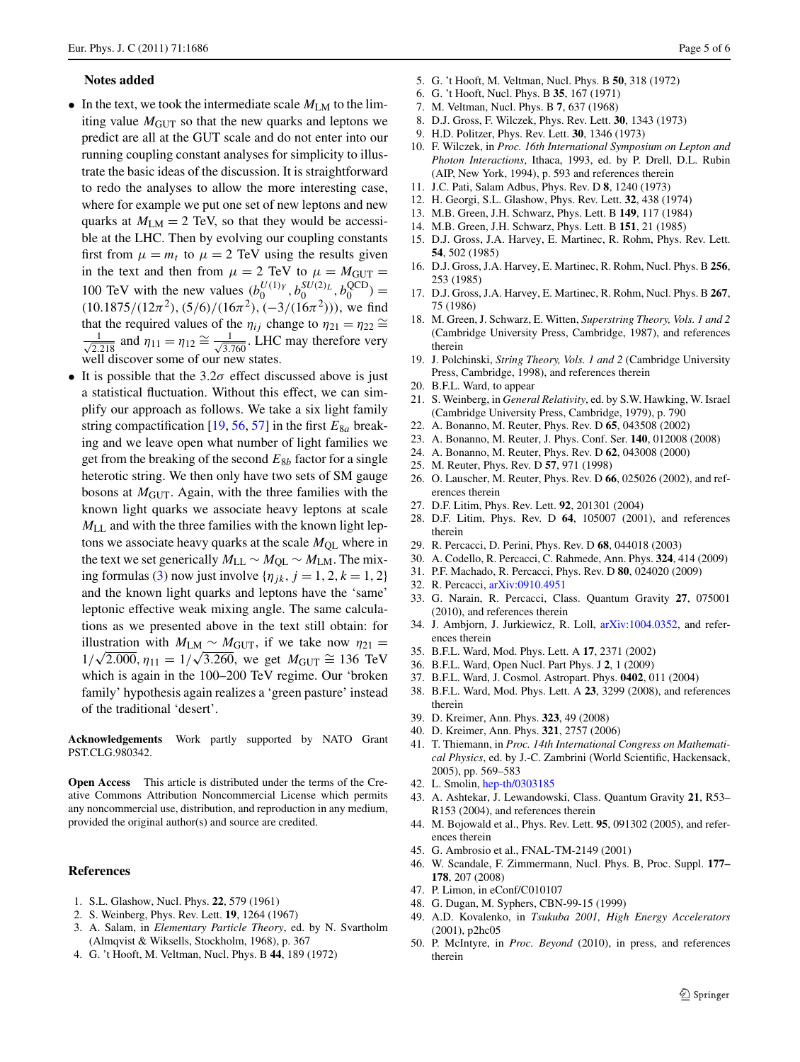## **Notes added**

- In the text, we took the intermediate scale  $M_{LM}$  to the limiting value  $M<sub>GUT</sub>$  so that the new quarks and leptons we predict are all at the GUT scale and do not enter into our running coupling constant analyses for simplicity to illustrate the basic ideas of the discussion. It is straightforward to redo the analyses to allow the more interesting case, where for example we put one set of new leptons and new quarks at  $M_{LM} = 2$  TeV, so that they would be accessible at the LHC. Then by evolving our coupling constants first from  $\mu = m_t$  to  $\mu = 2$  TeV using the results given in the text and then from  $\mu = 2$  TeV to  $\mu = M_{\text{GUT}} =$ 100 TeV with the new values  $(b_0^{U(1)_Y}, b_0^{SU(2)_L}, b_0^{QCD}) =$  $(10.1875/(12\pi^2), (5/6)/(16\pi^2), (-3/(16\pi^2)))$ , we find that the required values of the  $\eta_{ij}$  change to  $\eta_{21} = \eta_{22} \approx$ √ 1  $\frac{1}{2.218}$  and  $\eta_{11} = \eta_{12} \cong \frac{1}{\sqrt{3.760}}$ . LHC may therefore very well discover some of our new states.
- It is possible that the  $3.2\sigma$  effect discussed above is just a statistical fluctuation. Without this effect, we can simplify our approach as follows. We take a six light family string compactification  $[19, 56, 57]$  $[19, 56, 57]$  $[19, 56, 57]$  $[19, 56, 57]$  $[19, 56, 57]$  $[19, 56, 57]$  $[19, 56, 57]$  in the first  $E_{8a}$  breaking and we leave open what number of light families we get from the breaking of the second *E*8*<sup>b</sup>* factor for a single heterotic string. We then only have two sets of SM gauge bosons at  $M<sub>GUT</sub>$ . Again, with the three families with the known light quarks we associate heavy leptons at scale *M*LL and with the three families with the known light leptons we associate heavy quarks at the scale  $M_{OL}$  where in the text we set generically  $M_{LL} \sim M_{QL} \sim M_{LM}$ . The mix-ing formulas ([3\)](#page-2-2) now just involve  $\{\eta_{jk}, j = 1, 2, k = 1, 2\}$ and the known light quarks and leptons have the 'same' leptonic effective weak mixing angle. The same calculations as we presented above in the text still obtain: for illustration with  $M_{LM} \sim M_{GUT}$ , if we take now  $\eta_{21} =$ 1/ $\sqrt{2.000}$ ,  $\eta_{11} = 1/\sqrt{3.260}$ , we get  $M_{GUT} \cong 136$  TeV which is again in the 100–200 TeV regime. Our 'broken family' hypothesis again realizes a 'green pasture' instead of the traditional 'desert'.

**Acknowledgements** Work partly supported by NATO Grant PST.CLG.980342.

<span id="page-4-0"></span>**Open Access** This article is distributed under the terms of the Creative Commons Attribution Noncommercial License which permits any noncommercial use, distribution, and reproduction in any medium, provided the original author(s) and source are credited.

## **References**

- 1. S.L. Glashow, Nucl. Phys. **22**, 579 (1961)
- 2. S. Weinberg, Phys. Rev. Lett. **19**, 1264 (1967)
- 3. A. Salam, in *Elementary Particle Theory*, ed. by N. Svartholm (Almqvist & Wiksells, Stockholm, 1968), p. 367
- 4. G. 't Hooft, M. Veltman, Nucl. Phys. B **44**, 189 (1972)
- <span id="page-4-19"></span><span id="page-4-17"></span><span id="page-4-3"></span><span id="page-4-2"></span><span id="page-4-1"></span>5. G. 't Hooft, M. Veltman, Nucl. Phys. B **50**, 318 (1972)
- <span id="page-4-4"></span>6. G. 't Hooft, Nucl. Phys. B **35**, 167 (1971)
- 7. M. Veltman, Nucl. Phys. B **7**, 637 (1968)
- 8. D.J. Gross, F. Wilczek, Phys. Rev. Lett. **30**, 1343 (1973)
- 9. H.D. Politzer, Phys. Rev. Lett. **30**, 1346 (1973)
- 10. F. Wilczek, in *Proc. 16th International Symposium on Lepton and Photon Interactions*, Ithaca, 1993, ed. by P. Drell, D.L. Rubin (AIP, New York, 1994), p. 593 and references therein
- 11. J.C. Pati, Salam Adbus, Phys. Rev. D **8**, 1240 (1973)
- <span id="page-4-18"></span>12. H. Georgi, S.L. Glashow, Phys. Rev. Lett. **32**, 438 (1974)
- 13. M.B. Green, J.H. Schwarz, Phys. Lett. B **149**, 117 (1984)
- 14. M.B. Green, J.H. Schwarz, Phys. Lett. B **151**, 21 (1985)
- <span id="page-4-5"></span>15. D.J. Gross, J.A. Harvey, E. Martinec, R. Rohm, Phys. Rev. Lett. **54**, 502 (1985)
- <span id="page-4-6"></span>16. D.J. Gross, J.A. Harvey, E. Martinec, R. Rohm, Nucl. Phys. B **256**, 253 (1985)
- <span id="page-4-7"></span>17. D.J. Gross, J.A. Harvey, E. Martinec, R. Rohm, Nucl. Phys. B **267**, 75 (1986)
- 18. M. Green, J. Schwarz, E. Witten, *Superstring Theory, Vols. 1 and 2* (Cambridge University Press, Cambridge, 1987), and references therein
- 19. J. Polchinski, *String Theory, Vols. 1 and 2* (Cambridge University Press, Cambridge, 1998), and references therein
- 20. B.F.L. Ward, to appear
- 21. S. Weinberg, in *General Relativity*, ed. by S.W. Hawking, W. Israel (Cambridge University Press, Cambridge, 1979), p. 790
- 22. A. Bonanno, M. Reuter, Phys. Rev. D **65**, 043508 (2002)
- 23. A. Bonanno, M. Reuter, J. Phys. Conf. Ser. **140**, 012008 (2008)
- 24. A. Bonanno, M. Reuter, Phys. Rev. D **62**, 043008 (2000)
- 25. M. Reuter, Phys. Rev. D **57**, 971 (1998)
- 26. O. Lauscher, M. Reuter, Phys. Rev. D **66**, 025026 (2002), and references therein
- <span id="page-4-8"></span>27. D.F. Litim, Phys. Rev. Lett. **92**, 201301 (2004)
- <span id="page-4-9"></span>28. D.F. Litim, Phys. Rev. D **64**, 105007 (2001), and references therein
- 29. R. Percacci, D. Perini, Phys. Rev. D **68**, 044018 (2003)
- 30. A. Codello, R. Percacci, C. Rahmede, Ann. Phys. **324**, 414 (2009)
- <span id="page-4-10"></span>31. P.F. Machado, R. Percacci, Phys. Rev. D **80**, 024020 (2009)
- 32. R. Percacci, [arXiv:0910.4951](http://arxiv.org/abs/arXiv:0910.4951)
- <span id="page-4-12"></span><span id="page-4-11"></span>33. G. Narain, R. Percacci, Class. Quantum Gravity **27**, 075001 (2010), and references therein
- <span id="page-4-13"></span>34. J. Ambjorn, J. Jurkiewicz, R. Loll, [arXiv:1004.0352](http://arxiv.org/abs/arXiv:1004.0352), and references therein
- 35. B.F.L. Ward, Mod. Phys. Lett. A **17**, 2371 (2002)
- 36. B.F.L. Ward, Open Nucl. Part Phys. J **2**, 1 (2009)
- 37. B.F.L. Ward, J. Cosmol. Astropart. Phys. **0402**, 011 (2004)
- <span id="page-4-14"></span>38. B.F.L. Ward, Mod. Phys. Lett. A **23**, 3299 (2008), and references therein
- 39. D. Kreimer, Ann. Phys. **323**, 49 (2008)
- <span id="page-4-15"></span>40. D. Kreimer, Ann. Phys. **321**, 2757 (2006)
- 41. T. Thiemann, in *Proc. 14th International Congress on Mathematical Physics*, ed. by J.-C. Zambrini (World Scientific, Hackensack, 2005), pp. 569–583
- 42. L. Smolin, [hep-th/0303185](http://arxiv.org/abs/hep-th/0303185)
- 43. A. Ashtekar, J. Lewandowski, Class. Quantum Gravity **21**, R53– R153 (2004), and references therein
- <span id="page-4-16"></span>44. M. Bojowald et al., Phys. Rev. Lett. **95**, 091302 (2005), and references therein
- 45. G. Ambrosio et al., FNAL-TM-2149 (2001)
- 46. W. Scandale, F. Zimmermann, Nucl. Phys. B, Proc. Suppl. **177– 178**, 207 (2008)
- 47. P. Limon, in eConf/C010107
- 48. G. Dugan, M. Syphers, CBN-99-15 (1999)
- 49. A.D. Kovalenko, in *Tsukuba 2001, High Energy Accelerators* (2001), p2hc05
- 50. P. McIntyre, in *Proc. Beyond* (2010), in press, and references therein